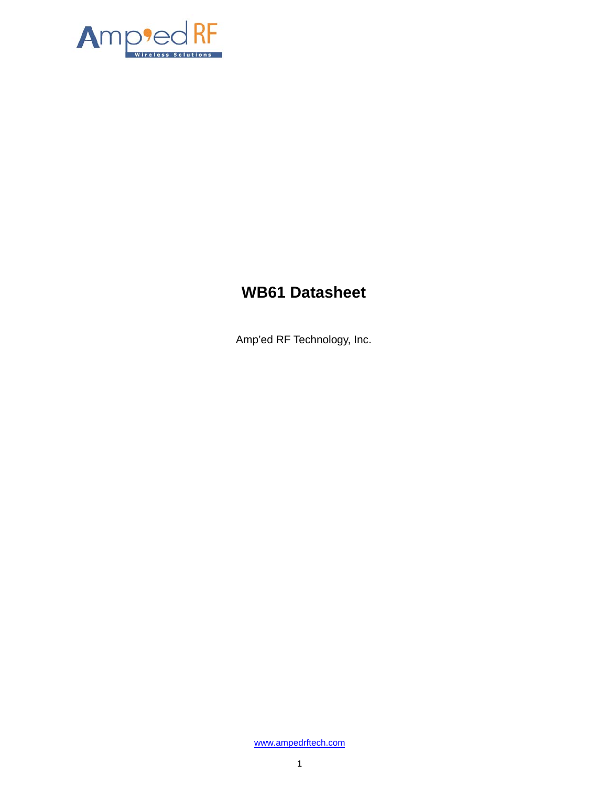

# **WB61 Datasheet**

Amp'ed RF Technology, Inc.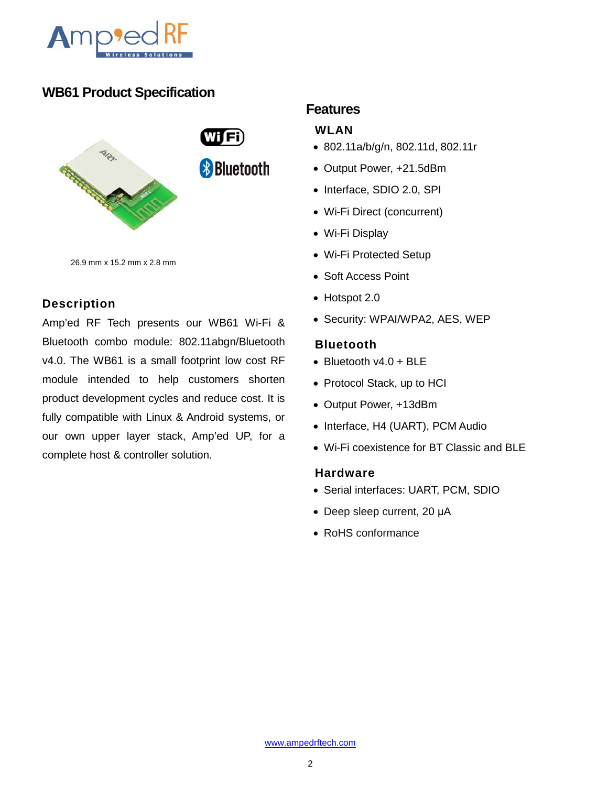

# **WB61 Product Specification**



26.9 mm x 15.2 mm x 2.8 mm

## **Description**

Amp'ed RF Tech presents our WB61 Wi-Fi & Bluetooth combo module: 802.11abgn/Bluetooth v4.0. The WB61 is a small footprint low cost RF module intended to help customers shorten product development cycles and reduce cost. It is fully compatible with Linux & Android systems, or our own upper layer stack, Amp'ed UP, for a complete host & controller solution.

## **Features**

#### **WLAN**

- 802.11a/b/g/n, 802.11d, 802.11r
- Output Power, +21.5dBm
- Interface, SDIO 2.0, SPI
- Wi-Fi Direct (concurrent)
- Wi-Fi Display
- Wi-Fi Protected Setup
- Soft Access Point
- Hotspot 2.0
- Security: WPAI/WPA2, AES, WEP

#### **Bluetooth**

- Bluetooth v4.0 + BLE
- Protocol Stack, up to HCI
- Output Power, +13dBm
- Interface, H4 (UART), PCM Audio
- Wi-Fi coexistence for BT Classic and BLE

#### **Hardware**

- Serial interfaces: UART, PCM, SDIO
- Deep sleep current, 20 μA
- RoHS conformance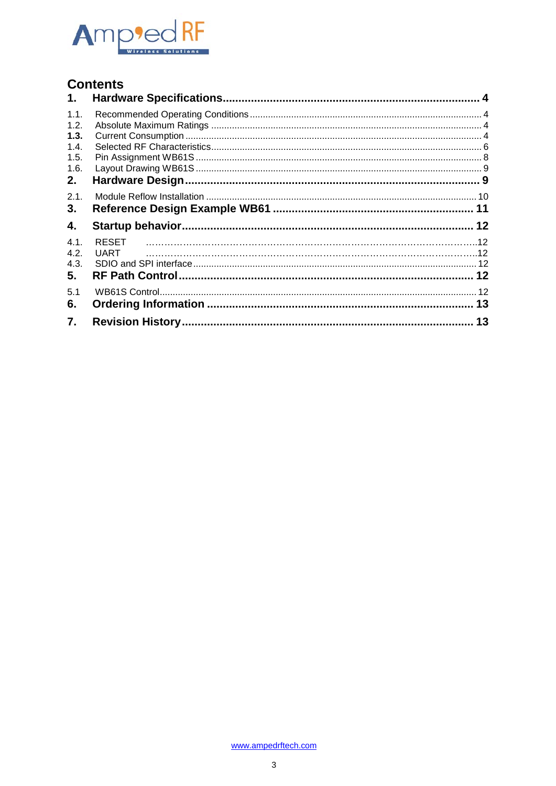

# **Contents**

| 1.                                                 |              |  |
|----------------------------------------------------|--------------|--|
| 1.1.<br>1.2.<br>1.3.<br>1.4.<br>1.5.<br>1.6.<br>2. |              |  |
| 2.1.<br>3.                                         |              |  |
| 4.                                                 |              |  |
| 4.1.<br>4.2.<br>4.3.<br>5.                         | <b>RESET</b> |  |
| 5.1<br>6.                                          |              |  |
| 7.                                                 |              |  |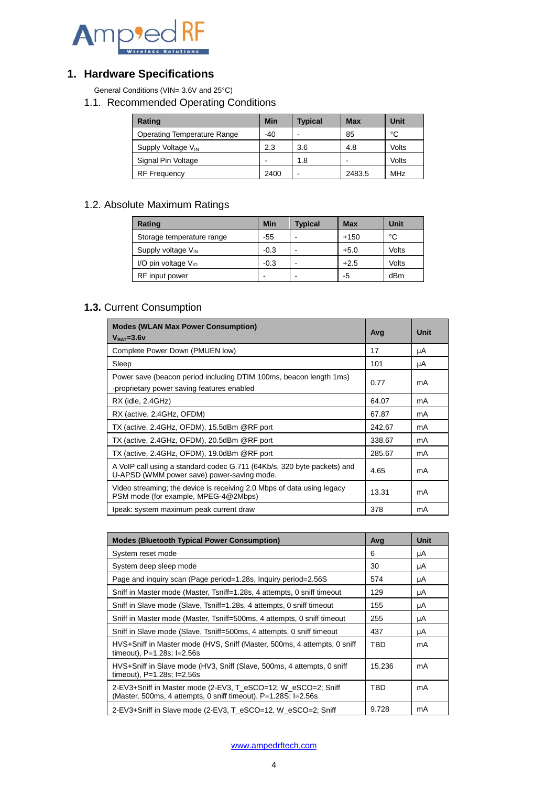

# <span id="page-3-0"></span>**1. Hardware Specifications**

<span id="page-3-1"></span>General Conditions (VIN= 3.6V and 25°C)

1.1. Recommended Operating Conditions

| Rating                             | <b>Min</b> | <b>Typical</b> | <b>Max</b> | Unit  |
|------------------------------------|------------|----------------|------------|-------|
| <b>Operating Temperature Range</b> | $-40$      |                | 85         | °C    |
| Supply Voltage V <sub>IN</sub>     | 2.3        | 3.6            | 4.8        | Volts |
| Signal Pin Voltage                 | -          | 1.8            |            | Volts |
| <b>RF</b> Frequency                | 2400       |                | 2483.5     | MHz   |

## <span id="page-3-2"></span>1.2. Absolute Maximum Ratings

| Rating                    | <b>Min</b> | <b>Typical</b> | <b>Max</b> | Unit  |
|---------------------------|------------|----------------|------------|-------|
| Storage temperature range | $-55$      |                | $+150$     | °C    |
| Supply voltage $V_{IN}$   | $-0.3$     |                | $+5.0$     | Volts |
| I/O pin voltage $V_{10}$  | $-0.3$     |                | $+2.5$     | Volts |
| RF input power            |            |                | -5         | dBm   |

## <span id="page-3-3"></span>**1.3.** Current Consumption

| <b>Modes (WLAN Max Power Consumption)</b><br>$VBAT=3.6V$                                                              | Avg    | Unit |
|-----------------------------------------------------------------------------------------------------------------------|--------|------|
| Complete Power Down (PMUEN low)                                                                                       | 17     | μA   |
| Sleep                                                                                                                 | 101    | μA   |
| Power save (beacon period including DTIM 100ms, beacon length 1ms)<br>-proprietary power saving features enabled      | 0.77   | mA   |
| $RX$ (idle, $2.4GHz$ )                                                                                                | 64.07  | mA   |
| RX (active, 2.4GHz, OFDM)                                                                                             | 67.87  | mA   |
| TX (active, 2.4GHz, OFDM), 15.5dBm @RF port                                                                           | 242.67 | mA   |
| TX (active, 2.4GHz, OFDM), 20.5dBm @RF port                                                                           | 338.67 | mA   |
| TX (active, 2.4GHz, OFDM), 19.0dBm @RF port                                                                           | 285.67 | mA   |
| A VoIP call using a standard codec G.711 (64Kb/s, 320 byte packets) and<br>U-APSD (WMM power save) power-saving mode. | 4.65   | mA   |
| Video streaming; the device is receiving 2.0 Mbps of data using legacy<br>PSM mode (for example, MPEG-4@2Mbps)        | 13.31  | mA   |
| Ipeak: system maximum peak current draw                                                                               | 378    | mA   |

| <b>Modes (Bluetooth Typical Power Consumption)</b>                                                                              | Avg    | <b>Unit</b> |
|---------------------------------------------------------------------------------------------------------------------------------|--------|-------------|
| System reset mode                                                                                                               | 6      | μA          |
| System deep sleep mode                                                                                                          | 30     | μA          |
| Page and inquiry scan (Page period=1.28s, Inquiry period=2.56S)                                                                 | 574    | μA          |
| Sniff in Master mode (Master, Tsniff=1.28s, 4 attempts, 0 sniff timeout                                                         | 129    | μA          |
| Sniff in Slave mode (Slave, Tsniff=1.28s, 4 attempts, 0 sniff timeout                                                           | 155    | μA          |
| Sniff in Master mode (Master, Tsniff=500ms, 4 attempts, 0 sniff timeout                                                         | 255    | μA          |
| Sniff in Slave mode (Slave, Tsniff=500ms, 4 attempts, 0 sniff timeout                                                           | 437    | μA          |
| HVS+Sniff in Master mode (HVS, Sniff (Master, 500ms, 4 attempts, 0 sniff<br>timeout), $P=1.28$ s; $I=2.56$ s                    | TBD    | mA          |
| HVS+Sniff in Slave mode (HV3, Sniff (Slave, 500ms, 4 attempts, 0 sniff<br>timeout), $P=1.28$ s; $I=2.56$ s                      | 15.236 | mA          |
| 2-EV3+Sniff in Master mode (2-EV3, T eSCO=12, W eSCO=2; Sniff<br>(Master, 500ms, 4 attempts, 0 sniff timeout), P=1.28S; I=2.56s | TBD    | mA          |
| 2-EV3+Sniff in Slave mode (2-EV3, T eSCO=12, W eSCO=2; Sniff                                                                    | 9.728  | mA          |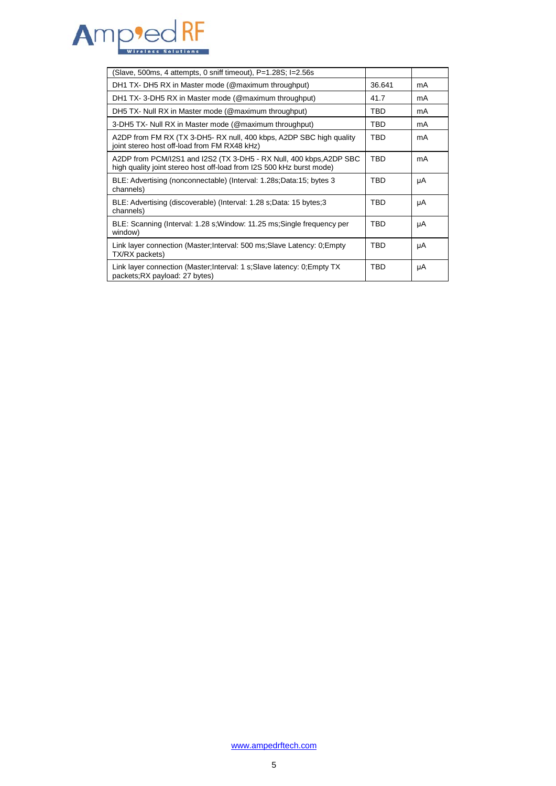

| (Slave, 500ms, 4 attempts, 0 sniff timeout), P=1.28S; I=2.56s                                                                               |            |    |
|---------------------------------------------------------------------------------------------------------------------------------------------|------------|----|
| DH1 TX- DH5 RX in Master mode (@maximum throughput)                                                                                         | 36.641     | mA |
| DH1 TX-3-DH5 RX in Master mode (@maximum throughput)                                                                                        | 41.7       | mA |
| DH5 TX- Null RX in Master mode (@maximum throughput)                                                                                        | TBD.       | mA |
| 3-DH5 TX- Null RX in Master mode (@maximum throughput)                                                                                      | TBD        | mA |
| A2DP from FM RX (TX 3-DH5- RX null, 400 kbps, A2DP SBC high quality<br>joint stereo host off-load from FM RX48 kHz)                         | TBD        | mA |
| A2DP from PCM/I2S1 and I2S2 (TX 3-DH5 - RX Null, 400 kbps, A2DP SBC<br>high quality joint stereo host off-load from I2S 500 kHz burst mode) | <b>TBD</b> | mA |
| BLE: Advertising (nonconnectable) (Interval: 1.28s;Data:15; bytes 3<br>channels)                                                            | TBD        | μA |
| BLE: Advertising (discoverable) (Interval: 1.28 s; Data: 15 bytes; 3<br>channels)                                                           | TBD.       | μA |
| BLE: Scanning (Interval: 1.28 s; Window: 11.25 ms; Single frequency per<br>window)                                                          | TBD        | μA |
| Link layer connection (Master; Interval: 500 ms; Slave Latency: 0; Empty<br>TX/RX packets)                                                  | TBD        | μA |
| Link layer connection (Master; Interval: 1 s; Slave latency: 0; Empty TX<br>packets; RX payload: 27 bytes)                                  | TBD        | μA |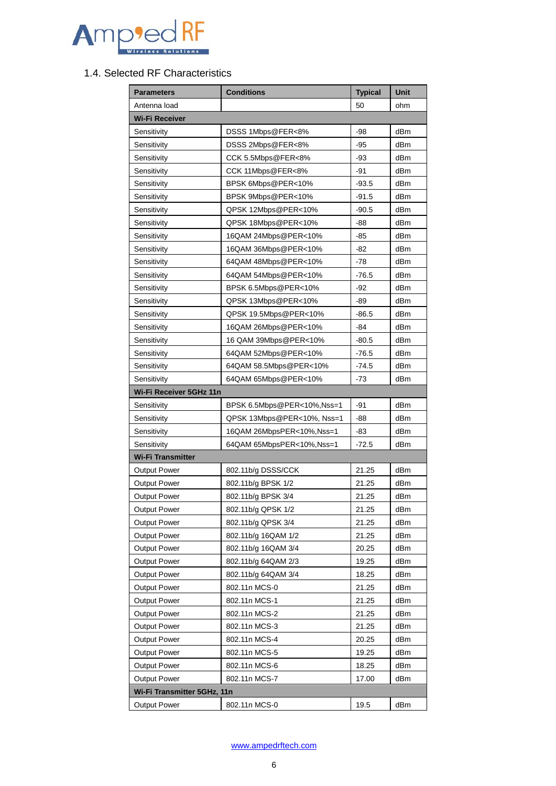

#### <span id="page-5-0"></span>1.4. Selected RF Characteristics

| <b>Parameters</b>           | <b>Typical</b>             | Unit    |                 |
|-----------------------------|----------------------------|---------|-----------------|
| Antenna load                |                            | 50      | ohm             |
| <b>Wi-Fi Receiver</b>       |                            |         |                 |
| Sensitivity                 | DSSS 1Mbps@FER<8%          | -98     | dBm             |
| Sensitivity                 | DSSS 2Mbps@FER<8%          | $-95$   | dBm             |
| Sensitivity                 | CCK 5.5Mbps@FER<8%         | -93     | dBm             |
| Sensitivity                 | CCK 11Mbps@FER<8%          | -91     | dBm             |
| Sensitivity                 | BPSK 6Mbps@PER<10%         | $-93.5$ | dBm             |
| Sensitivity                 | BPSK 9Mbps@PER<10%         | -91.5   | dBm             |
| Sensitivity                 | QPSK 12Mbps@PER<10%        | $-90.5$ | dBm             |
| Sensitivity                 | QPSK 18Mbps@PER<10%        | -88     | dBm             |
| Sensitivity                 | 16QAM 24Mbps@PER<10%       | -85     | dBm             |
| Sensitivity                 | 16QAM 36Mbps@PER<10%       | -82     | dBm             |
| Sensitivity                 | 64QAM 48Mbps@PER<10%       | -78     | dBm             |
| Sensitivity                 | 64QAM 54Mbps@PER<10%       | $-76.5$ | dBm             |
| Sensitivity                 | BPSK 6.5Mbps@PER<10%       | -92     | dBm             |
| Sensitivity                 | QPSK 13Mbps@PER<10%        | -89     | dBm             |
| Sensitivity                 | QPSK 19.5Mbps@PER<10%      | $-86.5$ | d <sub>Bm</sub> |
| Sensitivity                 | 16QAM 26Mbps@PER<10%       | -84     | dBm             |
| Sensitivity                 | 16 QAM 39Mbps@PER<10%      | $-80.5$ | dBm             |
| Sensitivity                 | 64QAM 52Mbps@PER<10%       | $-76.5$ | dBm             |
| Sensitivity                 | 64QAM 58.5Mbps@PER<10%     | -74.5   | dBm             |
| Sensitivity                 | 64QAM 65Mbps@PER<10%       | -73     | dBm             |
| Wi-Fi Receiver 5GHz 11n     |                            |         |                 |
| Sensitivity                 | BPSK 6.5Mbps@PER<10%,Nss=1 | -91     | dBm             |
| Sensitivity                 | QPSK 13Mbps@PER<10%, Nss=1 | -88     | dBm             |
| Sensitivity                 | 16QAM 26MbpsPER<10%, Nss=1 | -83     | dBm             |
| Sensitivity                 | 64QAM 65MbpsPER<10%, Nss=1 | $-72.5$ | dBm             |
| <b>Wi-Fi Transmitter</b>    |                            |         |                 |
| <b>Output Power</b>         | 802.11b/g DSSS/CCK         | 21.25   | d <sub>Bm</sub> |
| <b>Output Power</b>         | 802.11b/g BPSK 1/2         | 21.25   | dBm             |
| <b>Output Power</b>         | 802.11b/g BPSK 3/4         | 21.25   | dBm             |
| <b>Output Power</b>         | 802.11b/g QPSK 1/2         | 21.25   | dBm             |
| Output Power                | 802.11b/g QPSK 3/4         | 21.25   | dBm             |
| <b>Output Power</b>         | 802.11b/g 16QAM 1/2        | 21.25   | dBm             |
| <b>Output Power</b>         | 802.11b/g 16QAM 3/4        | 20.25   | dBm             |
| <b>Output Power</b>         | 802.11b/g 64QAM 2/3        | 19.25   | dBm             |
| <b>Output Power</b>         | 802.11b/g 64QAM 3/4        | 18.25   | dBm             |
| <b>Output Power</b>         | 802.11n MCS-0              | 21.25   | dBm             |
| <b>Output Power</b>         | 802.11n MCS-1              | 21.25   | dBm             |
| <b>Output Power</b>         | 802.11n MCS-2<br>21.25     |         | dBm             |
| <b>Output Power</b>         | 802.11n MCS-3              | 21.25   | dBm             |
| <b>Output Power</b>         | 802.11n MCS-4              | 20.25   | dBm             |
| <b>Output Power</b>         | 802.11n MCS-5              | 19.25   | dBm             |
| <b>Output Power</b>         | 802.11n MCS-6              | 18.25   | dBm             |
| <b>Output Power</b>         | 802.11n MCS-7              | 17.00   | dBm             |
| Wi-Fi Transmitter 5GHz, 11n |                            |         |                 |
| <b>Output Power</b>         | 802.11n MCS-0              | 19.5    | dBm             |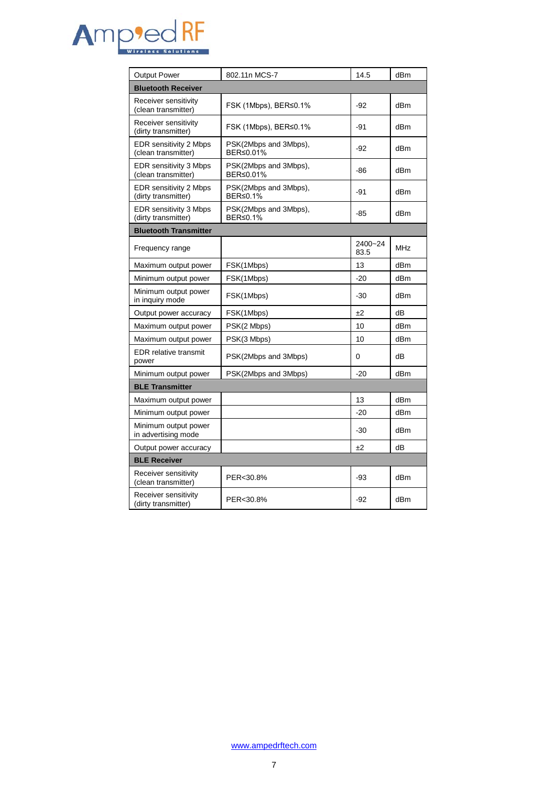

| <b>Output Power</b>                           | 802.11n MCS-7                      | 14.5            | dBm        |
|-----------------------------------------------|------------------------------------|-----------------|------------|
| <b>Bluetooth Receiver</b>                     |                                    |                 |            |
| Receiver sensitivity<br>(clean transmitter)   | FSK (1Mbps), BER≤0.1%              | $-92$           | dBm        |
| Receiver sensitivity<br>(dirty transmitter)   | FSK (1Mbps), BER≤0.1%              | -91             | dBm        |
| EDR sensitivity 2 Mbps<br>(clean transmitter) | PSK(2Mbps and 3Mbps),<br>BER≤0.01% | -92             | dBm        |
| EDR sensitivity 3 Mbps<br>(clean transmitter) | PSK(2Mbps and 3Mbps),<br>BER≤0.01% | -86             | dBm        |
| EDR sensitivity 2 Mbps<br>(dirty transmitter) | PSK(2Mbps and 3Mbps),<br>BER≤0.1%  | -91             | dBm        |
| EDR sensitivity 3 Mbps<br>(dirty transmitter) | PSK(2Mbps and 3Mbps),<br>BER≤0.1%  | -85             | dBm        |
| <b>Bluetooth Transmitter</b>                  |                                    |                 |            |
| Frequency range                               |                                    | 2400~24<br>83.5 | <b>MHz</b> |
| Maximum output power                          | FSK(1Mbps)                         | 13              | dBm        |
| Minimum output power                          | FSK(1Mbps)                         | $-20$           | dBm        |
| Minimum output power<br>in inquiry mode       | FSK(1Mbps)                         | -30             | dBm        |
| Output power accuracy                         | FSK(1Mbps)                         | ±2              | dB         |
| Maximum output power                          | PSK(2 Mbps)                        | 10              | dBm        |
| Maximum output power                          | PSK(3 Mbps)                        | 10              | dBm        |
| <b>EDR</b> relative transmit<br>power         | PSK(2Mbps and 3Mbps)               | 0               | dB         |
| Minimum output power                          | PSK(2Mbps and 3Mbps)               | $-20$           | dBm        |
| <b>BLE Transmitter</b>                        |                                    |                 |            |
| Maximum output power                          |                                    | 13              | dBm        |
| Minimum output power                          |                                    | $-20$           | dBm        |
| Minimum output power<br>in advertising mode   |                                    | $-30$           | dBm        |
| Output power accuracy                         |                                    | ±2              | dB         |
| <b>BLE Receiver</b>                           |                                    |                 |            |
| Receiver sensitivity<br>(clean transmitter)   | PER<30.8%                          | -93             | dBm        |
| Receiver sensitivity<br>(dirty transmitter)   | PER<30.8%                          | -92             | dBm        |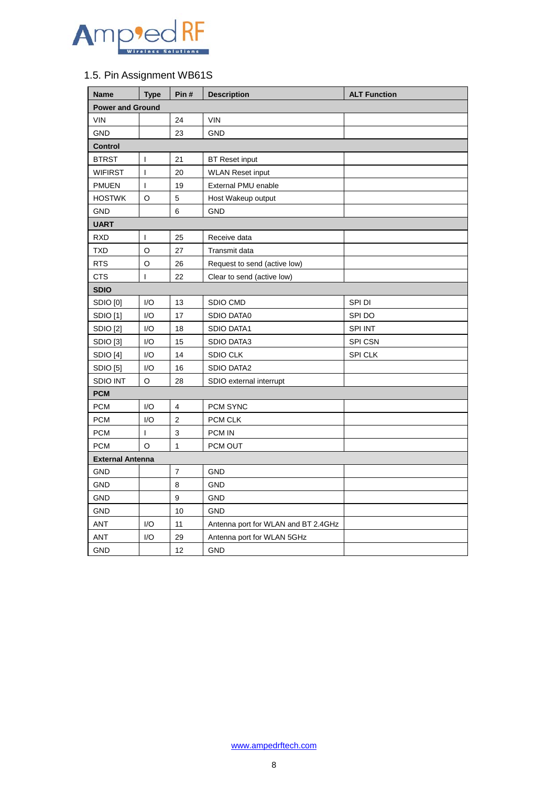

## <span id="page-7-0"></span>1.5. Pin Assignment WB61S

| <b>Name</b>             | <b>Type</b>  | Pin#           | <b>Description</b>                  | <b>ALT Function</b> |  |
|-------------------------|--------------|----------------|-------------------------------------|---------------------|--|
| <b>Power and Ground</b> |              |                |                                     |                     |  |
| 24<br><b>VIN</b>        |              |                | <b>VIN</b>                          |                     |  |
| <b>GND</b>              |              | 23             | <b>GND</b>                          |                     |  |
| <b>Control</b>          |              |                |                                     |                     |  |
| <b>BTRST</b>            | I            | 21             | <b>BT</b> Reset input               |                     |  |
| <b>WIFIRST</b>          | $\mathbf{I}$ | 20             | <b>WLAN Reset input</b>             |                     |  |
| <b>PMUEN</b>            | I            | 19             | External PMU enable                 |                     |  |
| <b>HOSTWK</b>           | O            | 5              | Host Wakeup output                  |                     |  |
| <b>GND</b>              |              | 6              | <b>GND</b>                          |                     |  |
| <b>UART</b>             |              |                |                                     |                     |  |
| <b>RXD</b>              | T            | 25             | Receive data                        |                     |  |
| <b>TXD</b>              | O            | 27             | Transmit data                       |                     |  |
| <b>RTS</b>              | O            | 26             | Request to send (active low)        |                     |  |
| <b>CTS</b>              | T            | 22             | Clear to send (active low)          |                     |  |
| <b>SDIO</b>             |              |                |                                     |                     |  |
| SDIO <sub>[0]</sub>     | I/O          | 13             | SDIO CMD                            | SPI DI              |  |
| SDIO [1]                | I/O          | 17             | SDIO DATA0                          | SPI DO              |  |
| SDIO [2]                | I/O          | 18             | <b>SDIO DATA1</b>                   | SPI INT             |  |
| SDIO <sub>[3]</sub>     | I/O          | 15             | <b>SDIO DATA3</b>                   | SPI CSN             |  |
| SDIO [4]                | I/O          | 14             | <b>SDIO CLK</b>                     | SPI CLK             |  |
| SDIO [5]                | I/O          | 16             | <b>SDIO DATA2</b>                   |                     |  |
| <b>SDIO INT</b>         | O            | 28             | SDIO external interrupt             |                     |  |
| <b>PCM</b>              |              |                |                                     |                     |  |
| <b>PCM</b>              | I/O          | $\overline{4}$ | PCM SYNC                            |                     |  |
| <b>PCM</b>              | I/O          | $\overline{2}$ | PCM CLK                             |                     |  |
| <b>PCM</b>              | T            | 3              | <b>PCM IN</b>                       |                     |  |
| <b>PCM</b>              | O            | $\mathbf{1}$   | PCM OUT                             |                     |  |
| <b>External Antenna</b> |              |                |                                     |                     |  |
| <b>GND</b>              |              | $\overline{7}$ | <b>GND</b>                          |                     |  |
| <b>GND</b>              |              | 8              | <b>GND</b>                          |                     |  |
| <b>GND</b>              |              | 9              | <b>GND</b>                          |                     |  |
| <b>GND</b>              |              | 10             | <b>GND</b>                          |                     |  |
| <b>ANT</b>              | I/O          | 11             | Antenna port for WLAN and BT 2.4GHz |                     |  |
| <b>ANT</b>              | I/O          | 29             | Antenna port for WLAN 5GHz          |                     |  |
| <b>GND</b>              |              | 12             | <b>GND</b>                          |                     |  |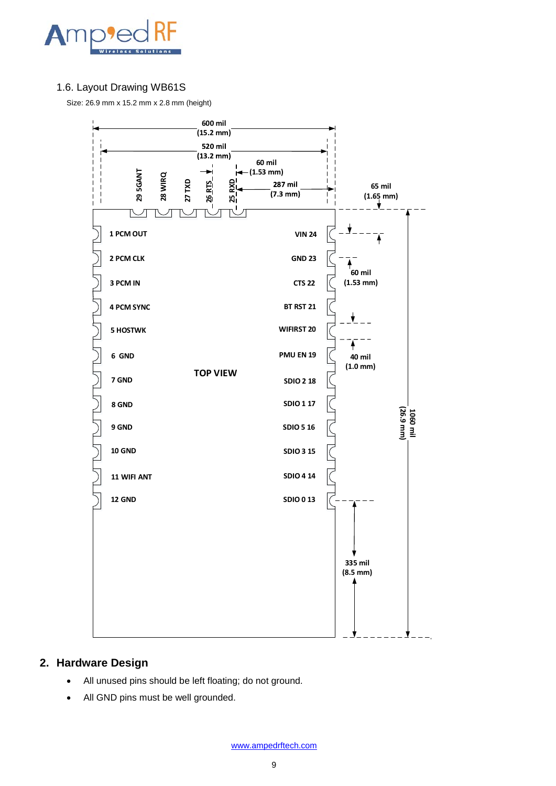

#### <span id="page-8-0"></span>1.6. Layout Drawing WB61S

Size: 26.9 mm x 15.2 mm x 2.8 mm (height)



#### <span id="page-8-1"></span>**2. Hardware Design**

- All unused pins should be left floating; do not ground.
- All GND pins must be well grounded.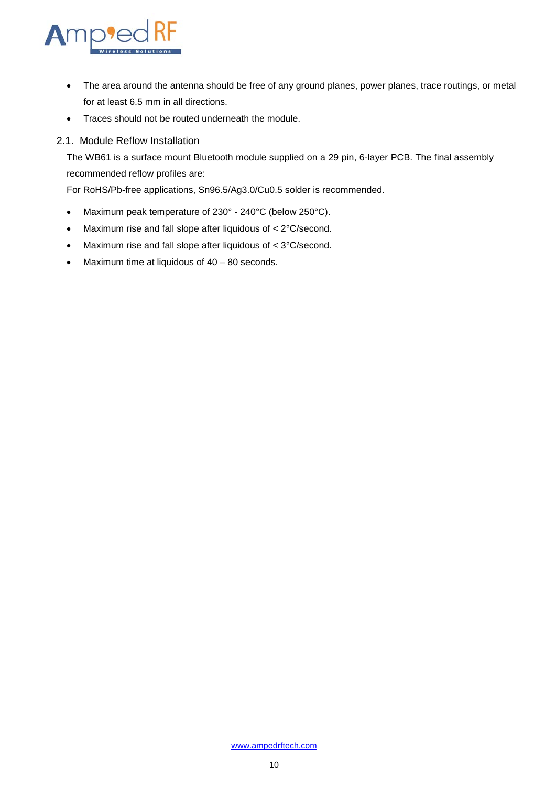

- The area around the antenna should be free of any ground planes, power planes, trace routings, or metal for at least 6.5 mm in all directions.
- Traces should not be routed underneath the module.

#### 2.1. Module Reflow Installation

<span id="page-9-0"></span>The WB61 is a surface mount Bluetooth module supplied on a 29 pin, 6-layer PCB. The final assembly recommended reflow profiles are:

For RoHS/Pb-free applications, Sn96.5/Ag3.0/Cu0.5 solder is recommended.

- Maximum peak temperature of 230° 240°C (below 250°C).
- Maximum rise and fall slope after liquidous of < 2°C/second.
- Maximum rise and fall slope after liquidous of < 3°C/second.
- Maximum time at liquidous of 40 80 seconds.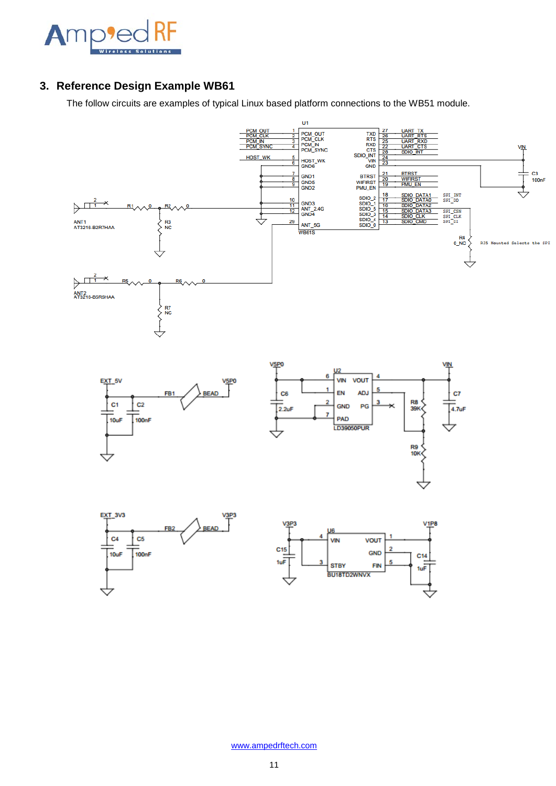

## <span id="page-10-0"></span>**3. Reference Design Example WB61**

The follow circuits are examples of typical Linux based platform connections to the WB51 module.

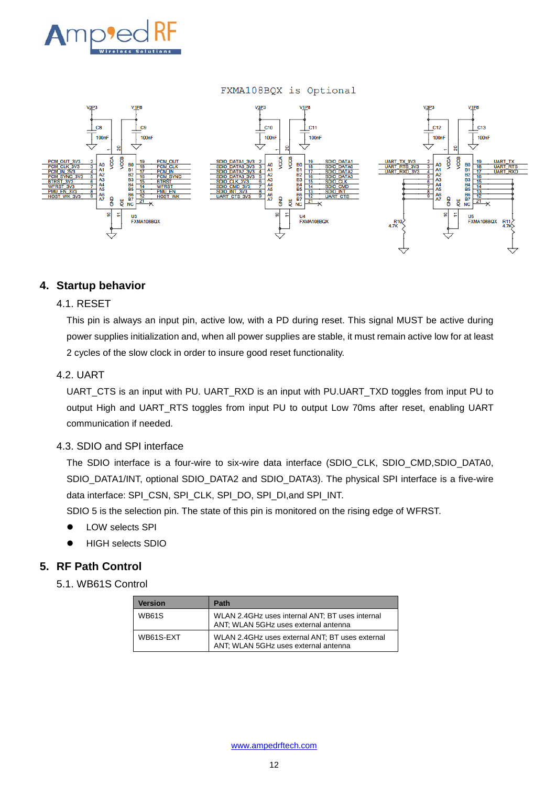<span id="page-11-5"></span>

#### FXMA108BQX is Optional



#### <span id="page-11-0"></span>**4. Startup behavior**

#### <span id="page-11-1"></span>4.1. RESET

This pin is always an input pin, active low, with a PD during reset. This signal MUST be active during power supplies initialization and, when all power supplies are stable, it must remain active low for at least 2 cycles of the slow clock in order to insure good reset functionality.

#### <span id="page-11-2"></span>4.2. UART

UART\_CTS is an input with PU. UART\_RXD is an input with PU.UART\_TXD toggles from input PU to output High and UART\_RTS toggles from input PU to output Low 70ms after reset, enabling UART communication if needed.

#### <span id="page-11-3"></span>4.3. SDIO and SPI interface

The SDIO interface is a four-wire to six-wire data interface (SDIO\_CLK, SDIO\_CMD,SDIO\_DATA0, SDIO\_DATA1/INT, optional SDIO\_DATA2 and SDIO\_DATA3). The physical SPI interface is a five-wire data interface: SPI\_CSN, SPI\_CLK, SPI\_DO, SPI\_DI,and SPI\_INT.

SDIO 5 is the selection pin. The state of this pin is monitored on the rising edge of WFRST.

- LOW selects SPI
- HIGH selects SDIO

#### <span id="page-11-4"></span>**5. RF Path Control**

5.1. WB61S Control

| <b>Version</b> | Path                                                                                     |
|----------------|------------------------------------------------------------------------------------------|
| <b>WB61S</b>   | WLAN 2.4 GHz uses internal ANT; BT uses internal<br>ANT; WLAN 5GHz uses external antenna |
| WB61S-EXT      | WLAN 2.4 GHz uses external ANT; BT uses external<br>ANT; WLAN 5GHz uses external antenna |